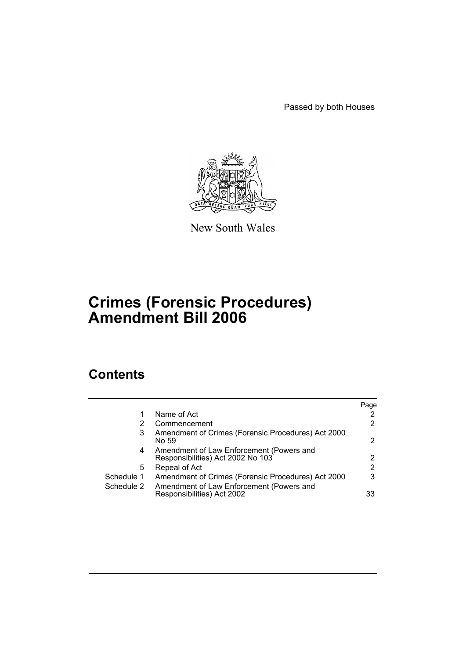Passed by both Houses



New South Wales

# **Crimes (Forensic Procedures) Amendment Bill 2006**

# **Contents**

|            |                                                                               | Page                  |
|------------|-------------------------------------------------------------------------------|-----------------------|
|            | Name of Act                                                                   | $\mathbf{2}^{\prime}$ |
|            | Commencement                                                                  | $\mathbf{2}^{\prime}$ |
| 3          | Amendment of Crimes (Forensic Procedures) Act 2000<br>No 59                   | 2                     |
| 4          | Amendment of Law Enforcement (Powers and<br>Responsibilities) Act 2002 No 103 | 2                     |
| 5          | Repeal of Act                                                                 | 2                     |
| Schedule 1 | Amendment of Crimes (Forensic Procedures) Act 2000                            | 3                     |
| Schedule 2 | Amendment of Law Enforcement (Powers and<br>Responsibilities) Act 2002        | 33                    |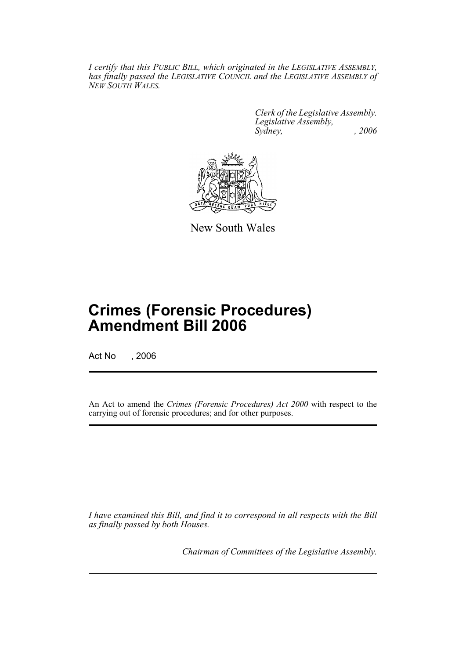*I certify that this PUBLIC BILL, which originated in the LEGISLATIVE ASSEMBLY, has finally passed the LEGISLATIVE COUNCIL and the LEGISLATIVE ASSEMBLY of NEW SOUTH WALES.*

> *Clerk of the Legislative Assembly. Legislative Assembly, Sydney, , 2006*



New South Wales

# **Crimes (Forensic Procedures) Amendment Bill 2006**

Act No , 2006

An Act to amend the *Crimes (Forensic Procedures) Act 2000* with respect to the carrying out of forensic procedures; and for other purposes.

*I have examined this Bill, and find it to correspond in all respects with the Bill as finally passed by both Houses.*

*Chairman of Committees of the Legislative Assembly.*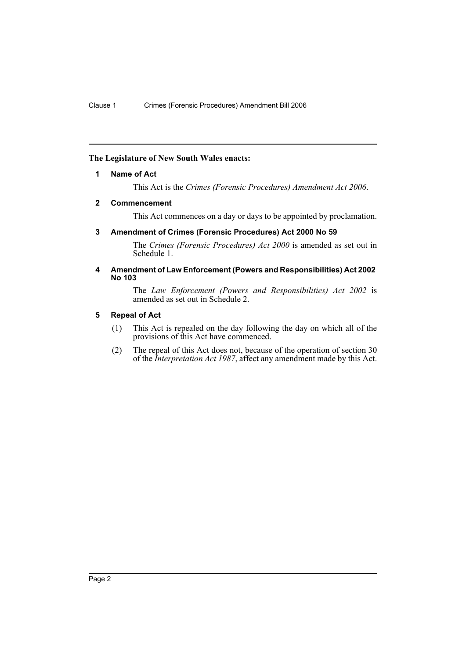## **The Legislature of New South Wales enacts:**

#### **1 Name of Act**

This Act is the *Crimes (Forensic Procedures) Amendment Act 2006*.

## **2 Commencement**

This Act commences on a day or days to be appointed by proclamation.

## **3 Amendment of Crimes (Forensic Procedures) Act 2000 No 59**

The *Crimes (Forensic Procedures) Act 2000* is amended as set out in Schedule 1.

## **4 Amendment of Law Enforcement (Powers and Responsibilities) Act 2002 No 103**

The *Law Enforcement (Powers and Responsibilities) Act 2002* is amended as set out in Schedule 2.

## **5 Repeal of Act**

- (1) This Act is repealed on the day following the day on which all of the provisions of this Act have commenced.
- (2) The repeal of this Act does not, because of the operation of section 30 of the *Interpretation Act 1987*, affect any amendment made by this Act.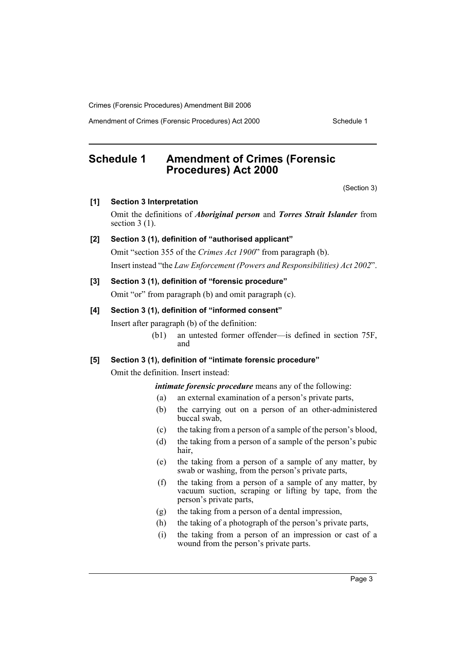Amendment of Crimes (Forensic Procedures) Act 2000 Schedule 1

# **Schedule 1 Amendment of Crimes (Forensic Procedures) Act 2000**

(Section 3)

**[1] Section 3 Interpretation** Omit the definitions of *Aboriginal person* and *Torres Strait Islander* from section  $3(1)$ .

## **[2] Section 3 (1), definition of "authorised applicant"**

Omit "section 355 of the *Crimes Act 1900*" from paragraph (b). Insert instead "the *Law Enforcement (Powers and Responsibilities) Act 2002*".

## **[3] Section 3 (1), definition of "forensic procedure"**

Omit "or" from paragraph (b) and omit paragraph (c).

#### **[4] Section 3 (1), definition of "informed consent"**

Insert after paragraph (b) of the definition:

(b1) an untested former offender—is defined in section 75F, and

## **[5] Section 3 (1), definition of "intimate forensic procedure"**

Omit the definition. Insert instead:

*intimate forensic procedure* means any of the following:

- (a) an external examination of a person's private parts,
- (b) the carrying out on a person of an other-administered buccal swab,
- (c) the taking from a person of a sample of the person's blood,
- (d) the taking from a person of a sample of the person's pubic hair,
- (e) the taking from a person of a sample of any matter, by swab or washing, from the person's private parts,
- (f) the taking from a person of a sample of any matter, by vacuum suction, scraping or lifting by tape, from the person's private parts,
- (g) the taking from a person of a dental impression,
- (h) the taking of a photograph of the person's private parts,
- (i) the taking from a person of an impression or cast of a wound from the person's private parts.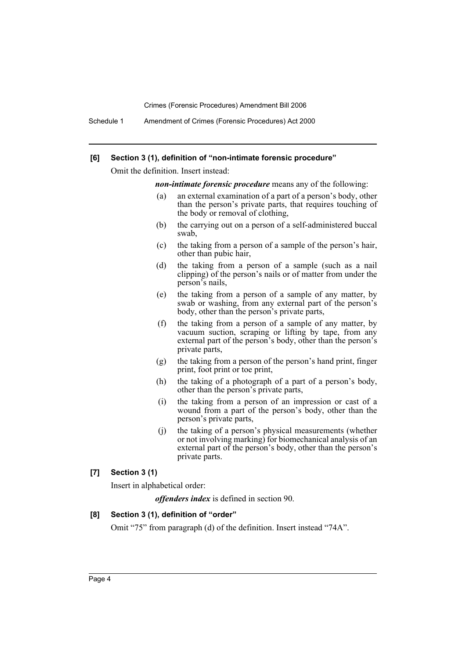Schedule 1 Amendment of Crimes (Forensic Procedures) Act 2000

#### **[6] Section 3 (1), definition of "non-intimate forensic procedure"**

Omit the definition. Insert instead:

*non-intimate forensic procedure* means any of the following:

- (a) an external examination of a part of a person's body, other than the person's private parts, that requires touching of the body or removal of clothing,
- (b) the carrying out on a person of a self-administered buccal swab,
- (c) the taking from a person of a sample of the person's hair, other than pubic hair,
- (d) the taking from a person of a sample (such as a nail clipping) of the person's nails or of matter from under the person's nails,
- (e) the taking from a person of a sample of any matter, by swab or washing, from any external part of the person's body, other than the person's private parts,
- (f) the taking from a person of a sample of any matter, by vacuum suction, scraping or lifting by tape, from any external part of the person's body, other than the person's private parts,
- (g) the taking from a person of the person's hand print, finger print, foot print or toe print,
- (h) the taking of a photograph of a part of a person's body, other than the person's private parts,
- (i) the taking from a person of an impression or cast of a wound from a part of the person's body, other than the person's private parts,
- (j) the taking of a person's physical measurements (whether or not involving marking) for biomechanical analysis of an external part of the person's body, other than the person's private parts.

## **[7] Section 3 (1)**

Insert in alphabetical order:

*offenders index* is defined in section 90.

#### **[8] Section 3 (1), definition of "order"**

Omit "75" from paragraph (d) of the definition. Insert instead "74A".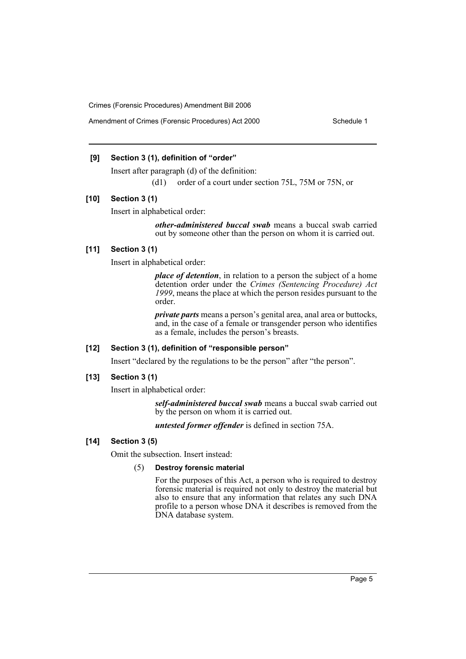## **[9] Section 3 (1), definition of "order"**

Insert after paragraph (d) of the definition:

(d1) order of a court under section 75L, 75M or 75N, or

## **[10] Section 3 (1)**

Insert in alphabetical order:

*other-administered buccal swab* means a buccal swab carried out by someone other than the person on whom it is carried out.

#### **[11] Section 3 (1)**

Insert in alphabetical order:

*place of detention*, in relation to a person the subject of a home detention order under the *Crimes (Sentencing Procedure) Act 1999*, means the place at which the person resides pursuant to the order.

*private parts* means a person's genital area, anal area or buttocks, and, in the case of a female or transgender person who identifies as a female, includes the person's breasts.

## **[12] Section 3 (1), definition of "responsible person"**

Insert "declared by the regulations to be the person" after "the person".

#### **[13] Section 3 (1)**

Insert in alphabetical order:

*self-administered buccal swab* means a buccal swab carried out by the person on whom it is carried out.

*untested former offender* is defined in section 75A.

## **[14] Section 3 (5)**

Omit the subsection. Insert instead:

## (5) **Destroy forensic material**

For the purposes of this Act, a person who is required to destroy forensic material is required not only to destroy the material but also to ensure that any information that relates any such DNA profile to a person whose DNA it describes is removed from the DNA database system.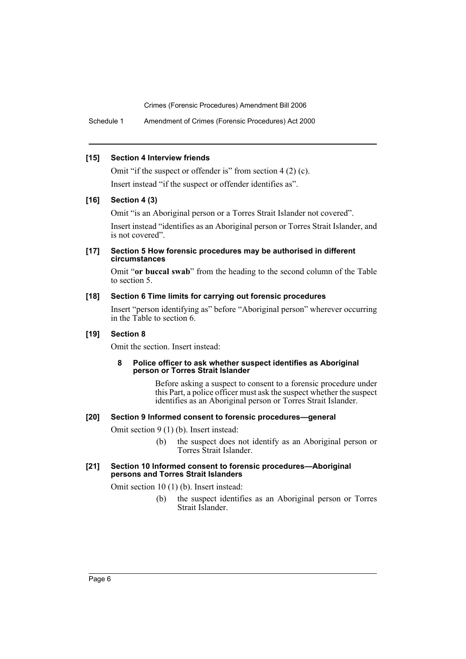Schedule 1 Amendment of Crimes (Forensic Procedures) Act 2000

#### **[15] Section 4 Interview friends**

Omit "if the suspect or offender is" from section 4 (2) (c). Insert instead "if the suspect or offender identifies as".

## **[16] Section 4 (3)**

Omit "is an Aboriginal person or a Torres Strait Islander not covered".

Insert instead "identifies as an Aboriginal person or Torres Strait Islander, and is not covered".

### **[17] Section 5 How forensic procedures may be authorised in different circumstances**

Omit "**or buccal swab**" from the heading to the second column of the Table to section 5.

## **[18] Section 6 Time limits for carrying out forensic procedures**

Insert "person identifying as" before "Aboriginal person" wherever occurring in the Table to section 6.

#### **[19] Section 8**

Omit the section. Insert instead:

#### **8 Police officer to ask whether suspect identifies as Aboriginal person or Torres Strait Islander**

Before asking a suspect to consent to a forensic procedure under this Part, a police officer must ask the suspect whether the suspect identifies as an Aboriginal person or Torres Strait Islander.

#### **[20] Section 9 Informed consent to forensic procedures—general**

Omit section 9 (1) (b). Insert instead:

(b) the suspect does not identify as an Aboriginal person or Torres Strait Islander.

#### **[21] Section 10 Informed consent to forensic procedures—Aboriginal persons and Torres Strait Islanders**

Omit section 10 (1) (b). Insert instead:

(b) the suspect identifies as an Aboriginal person or Torres Strait Islander.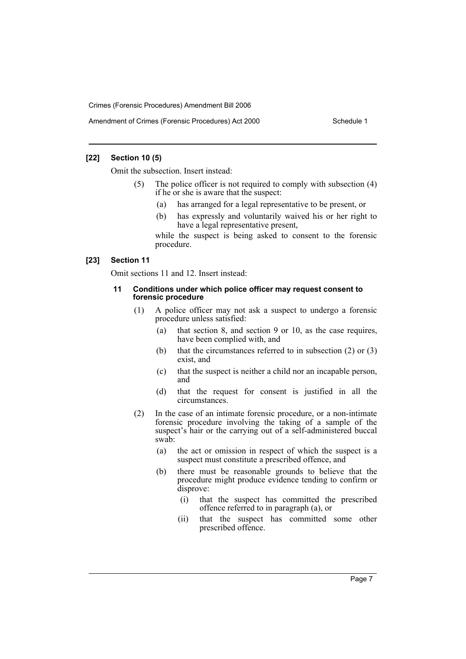## **[22] Section 10 (5)**

Omit the subsection. Insert instead:

- (5) The police officer is not required to comply with subsection (4) if he or she is aware that the suspect:
	- (a) has arranged for a legal representative to be present, or
	- (b) has expressly and voluntarily waived his or her right to have a legal representative present,

while the suspect is being asked to consent to the forensic procedure.

## **[23] Section 11**

Omit sections 11 and 12. Insert instead:

#### **11 Conditions under which police officer may request consent to forensic procedure**

- (1) A police officer may not ask a suspect to undergo a forensic procedure unless satisfied:
	- (a) that section 8, and section 9 or 10, as the case requires, have been complied with, and
	- (b) that the circumstances referred to in subsection (2) or (3) exist, and
	- (c) that the suspect is neither a child nor an incapable person, and
	- (d) that the request for consent is justified in all the circumstances.
- (2) In the case of an intimate forensic procedure, or a non-intimate forensic procedure involving the taking of a sample of the suspect's hair or the carrying out of a self-administered buccal swab:
	- (a) the act or omission in respect of which the suspect is a suspect must constitute a prescribed offence, and
	- (b) there must be reasonable grounds to believe that the procedure might produce evidence tending to confirm or disprove:
		- (i) that the suspect has committed the prescribed offence referred to in paragraph (a), or
		- (ii) that the suspect has committed some other prescribed offence.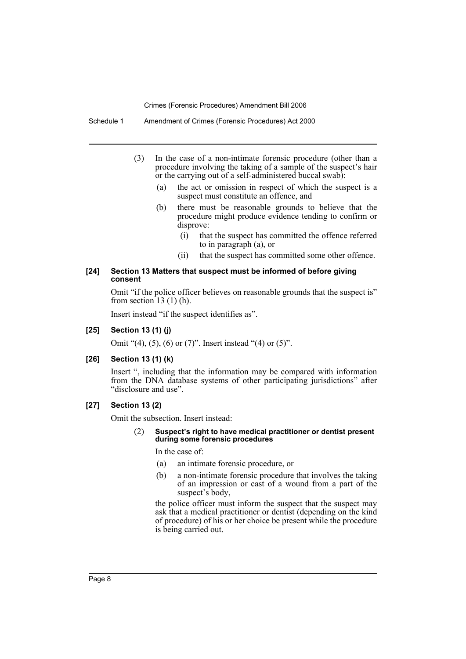Schedule 1 Amendment of Crimes (Forensic Procedures) Act 2000

- (3) In the case of a non-intimate forensic procedure (other than a procedure involving the taking of a sample of the suspect's hair or the carrying out of a self-administered buccal swab):
	- (a) the act or omission in respect of which the suspect is a suspect must constitute an offence, and
	- (b) there must be reasonable grounds to believe that the procedure might produce evidence tending to confirm or disprove:
		- (i) that the suspect has committed the offence referred to in paragraph (a), or
		- (ii) that the suspect has committed some other offence.

#### **[24] Section 13 Matters that suspect must be informed of before giving consent**

Omit "if the police officer believes on reasonable grounds that the suspect is" from section 13  $(1)$  (h).

Insert instead "if the suspect identifies as".

**[25] Section 13 (1) (j)**

Omit "(4), (5), (6) or (7)". Insert instead "(4) or (5)".

## **[26] Section 13 (1) (k)**

Insert ", including that the information may be compared with information from the DNA database systems of other participating jurisdictions" after "disclosure and use".

#### **[27] Section 13 (2)**

Omit the subsection. Insert instead:

#### (2) **Suspect's right to have medical practitioner or dentist present during some forensic procedures**

In the case of:

- (a) an intimate forensic procedure, or
- (b) a non-intimate forensic procedure that involves the taking of an impression or cast of a wound from a part of the suspect's body,

the police officer must inform the suspect that the suspect may ask that a medical practitioner or dentist (depending on the kind of procedure) of his or her choice be present while the procedure is being carried out.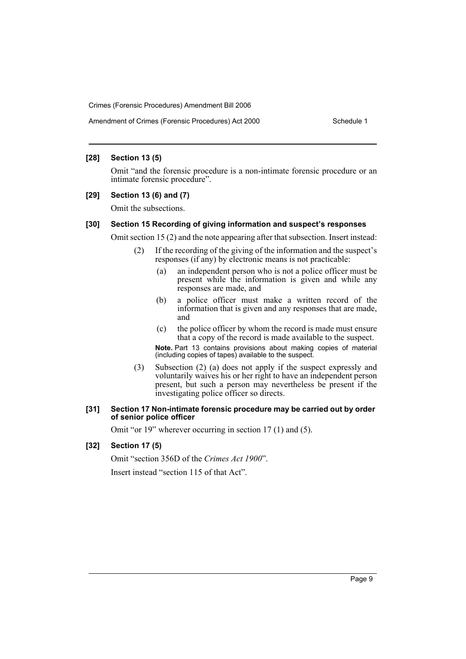## **[28] Section 13 (5)**

Omit "and the forensic procedure is a non-intimate forensic procedure or an intimate forensic procedure".

## **[29] Section 13 (6) and (7)**

Omit the subsections.

## **[30] Section 15 Recording of giving information and suspect's responses**

Omit section 15 (2) and the note appearing after that subsection. Insert instead:

- (2) If the recording of the giving of the information and the suspect's responses (if any) by electronic means is not practicable:
	- (a) an independent person who is not a police officer must be present while the information is given and while any responses are made, and
	- (b) a police officer must make a written record of the information that is given and any responses that are made, and
	- (c) the police officer by whom the record is made must ensure that a copy of the record is made available to the suspect.

**Note.** Part 13 contains provisions about making copies of material (including copies of tapes) available to the suspect.

(3) Subsection (2) (a) does not apply if the suspect expressly and voluntarily waives his or her right to have an independent person present, but such a person may nevertheless be present if the investigating police officer so directs.

#### **[31] Section 17 Non-intimate forensic procedure may be carried out by order of senior police officer**

Omit "or 19" wherever occurring in section 17 (1) and (5).

#### **[32] Section 17 (5)**

Omit "section 356D of the *Crimes Act 1900*". Insert instead "section 115 of that Act".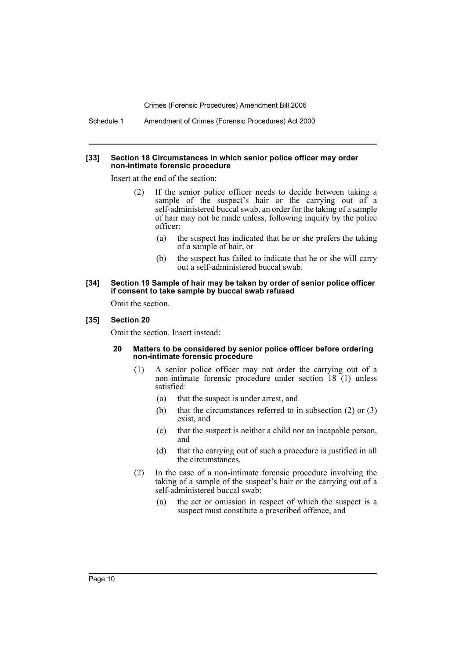Schedule 1 Amendment of Crimes (Forensic Procedures) Act 2000

#### **[33] Section 18 Circumstances in which senior police officer may order non-intimate forensic procedure**

Insert at the end of the section:

- (2) If the senior police officer needs to decide between taking a sample of the suspect's hair or the carrying out of a self-administered buccal swab, an order for the taking of a sample of hair may not be made unless, following inquiry by the police officer:
	- (a) the suspect has indicated that he or she prefers the taking of a sample of hair, or
	- (b) the suspect has failed to indicate that he or she will carry out a self-administered buccal swab.

#### **[34] Section 19 Sample of hair may be taken by order of senior police officer if consent to take sample by buccal swab refused**

Omit the section.

#### **[35] Section 20**

Omit the section. Insert instead:

#### **20 Matters to be considered by senior police officer before ordering non-intimate forensic procedure**

- (1) A senior police officer may not order the carrying out of a non-intimate forensic procedure under section 18 (1) unless satisfied:
	- (a) that the suspect is under arrest, and
	- (b) that the circumstances referred to in subsection (2) or (3) exist, and
	- (c) that the suspect is neither a child nor an incapable person, and
	- (d) that the carrying out of such a procedure is justified in all the circumstances.
- (2) In the case of a non-intimate forensic procedure involving the taking of a sample of the suspect's hair or the carrying out of a self-administered buccal swab:
	- (a) the act or omission in respect of which the suspect is a suspect must constitute a prescribed offence, and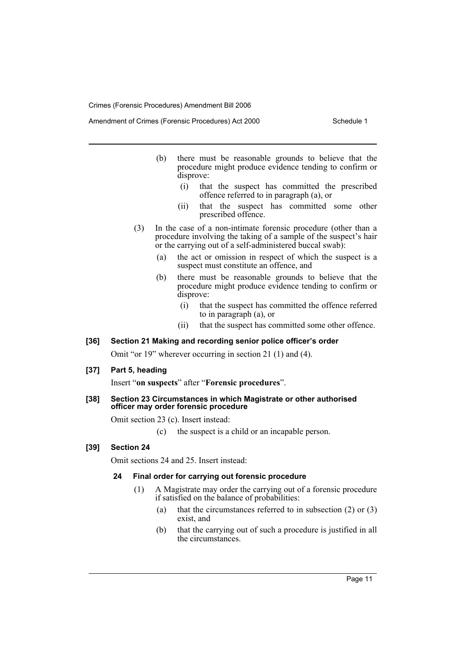Amendment of Crimes (Forensic Procedures) Act 2000 Schedule 1

- (b) there must be reasonable grounds to believe that the procedure might produce evidence tending to confirm or disprove:
	- (i) that the suspect has committed the prescribed offence referred to in paragraph (a), or
	- (ii) that the suspect has committed some other prescribed offence.
- (3) In the case of a non-intimate forensic procedure (other than a procedure involving the taking of a sample of the suspect's hair or the carrying out of a self-administered buccal swab):
	- (a) the act or omission in respect of which the suspect is a suspect must constitute an offence, and
	- (b) there must be reasonable grounds to believe that the procedure might produce evidence tending to confirm or disprove:
		- (i) that the suspect has committed the offence referred to in paragraph (a), or
		- (ii) that the suspect has committed some other offence.

### **[36] Section 21 Making and recording senior police officer's order**

Omit "or 19" wherever occurring in section 21 (1) and (4).

## **[37] Part 5, heading**

Insert "**on suspects**" after "**Forensic procedures**".

## **[38] Section 23 Circumstances in which Magistrate or other authorised officer may order forensic procedure**

Omit section 23 (c). Insert instead:

(c) the suspect is a child or an incapable person.

#### **[39] Section 24**

Omit sections 24 and 25. Insert instead:

#### **24 Final order for carrying out forensic procedure**

- (1) A Magistrate may order the carrying out of a forensic procedure if satisfied on the balance of probabilities:
	- (a) that the circumstances referred to in subsection (2) or (3) exist, and
	- (b) that the carrying out of such a procedure is justified in all the circumstances.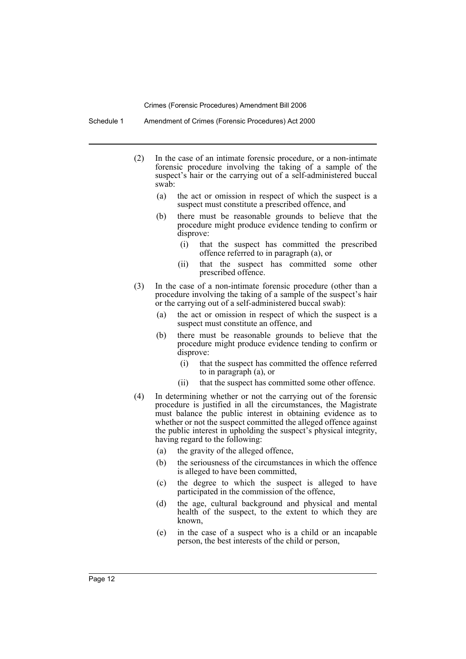Schedule 1 Amendment of Crimes (Forensic Procedures) Act 2000

- (2) In the case of an intimate forensic procedure, or a non-intimate forensic procedure involving the taking of a sample of the suspect's hair or the carrying out of a self-administered buccal swab:
	- (a) the act or omission in respect of which the suspect is a suspect must constitute a prescribed offence, and
	- (b) there must be reasonable grounds to believe that the procedure might produce evidence tending to confirm or disprove:
		- (i) that the suspect has committed the prescribed offence referred to in paragraph (a), or
		- (ii) that the suspect has committed some other prescribed offence.
- (3) In the case of a non-intimate forensic procedure (other than a procedure involving the taking of a sample of the suspect's hair or the carrying out of a self-administered buccal swab):
	- (a) the act or omission in respect of which the suspect is a suspect must constitute an offence, and
	- (b) there must be reasonable grounds to believe that the procedure might produce evidence tending to confirm or disprove:
		- (i) that the suspect has committed the offence referred to in paragraph (a), or
		- (ii) that the suspect has committed some other offence.
- (4) In determining whether or not the carrying out of the forensic procedure is justified in all the circumstances, the Magistrate must balance the public interest in obtaining evidence as to whether or not the suspect committed the alleged offence against the public interest in upholding the suspect's physical integrity, having regard to the following:
	- (a) the gravity of the alleged offence,
	- (b) the seriousness of the circumstances in which the offence is alleged to have been committed,
	- (c) the degree to which the suspect is alleged to have participated in the commission of the offence,
	- (d) the age, cultural background and physical and mental health of the suspect, to the extent to which they are known,
	- (e) in the case of a suspect who is a child or an incapable person, the best interests of the child or person,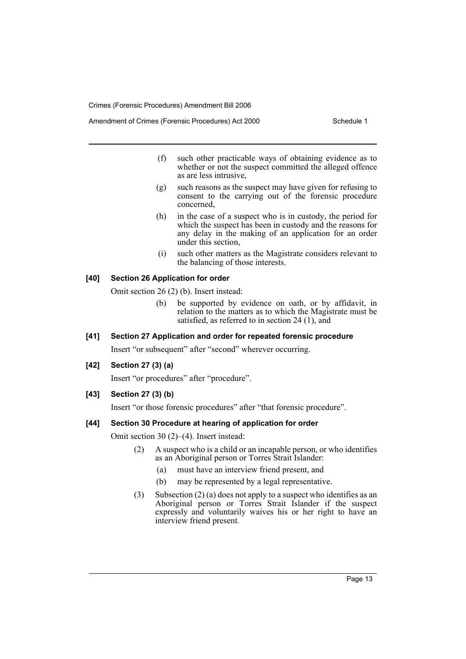- (f) such other practicable ways of obtaining evidence as to whether or not the suspect committed the alleged offence as are less intrusive,
- (g) such reasons as the suspect may have given for refusing to consent to the carrying out of the forensic procedure concerned,
- (h) in the case of a suspect who is in custody, the period for which the suspect has been in custody and the reasons for any delay in the making of an application for an order under this section,
- (i) such other matters as the Magistrate considers relevant to the balancing of those interests.

## **[40] Section 26 Application for order**

Omit section 26 (2) (b). Insert instead:

(b) be supported by evidence on oath, or by affidavit, in relation to the matters as to which the Magistrate must be satisfied, as referred to in section 24 (1), and

#### **[41] Section 27 Application and order for repeated forensic procedure**

Insert "or subsequent" after "second" wherever occurring.

## **[42] Section 27 (3) (a)**

Insert "or procedures" after "procedure".

**[43] Section 27 (3) (b)**

Insert "or those forensic procedures" after "that forensic procedure".

## **[44] Section 30 Procedure at hearing of application for order**

Omit section 30 (2)–(4). Insert instead:

- (2) A suspect who is a child or an incapable person, or who identifies as an Aboriginal person or Torres Strait Islander:
	- (a) must have an interview friend present, and
	- (b) may be represented by a legal representative.
- (3) Subsection (2) (a) does not apply to a suspect who identifies as an Aboriginal person or Torres Strait Islander if the suspect expressly and voluntarily waives his or her right to have an interview friend present.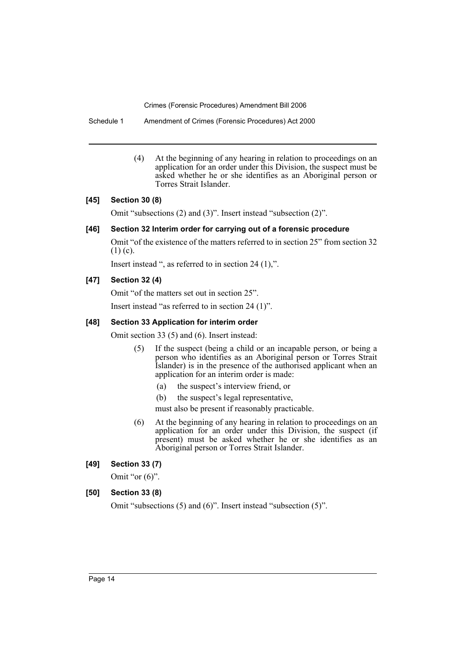Schedule 1 Amendment of Crimes (Forensic Procedures) Act 2000

(4) At the beginning of any hearing in relation to proceedings on an application for an order under this Division, the suspect must be asked whether he or she identifies as an Aboriginal person or Torres Strait Islander.

## **[45] Section 30 (8)**

Omit "subsections (2) and (3)". Insert instead "subsection (2)".

## **[46] Section 32 Interim order for carrying out of a forensic procedure**

Omit "of the existence of the matters referred to in section 25" from section 32  $(1)$  (c).

Insert instead ", as referred to in section 24 (1),".

## **[47] Section 32 (4)**

Omit "of the matters set out in section 25".

Insert instead "as referred to in section 24 (1)".

## **[48] Section 33 Application for interim order**

Omit section 33 (5) and (6). Insert instead:

- (5) If the suspect (being a child or an incapable person, or being a person who identifies as an Aboriginal person or Torres Strait Islander) is in the presence of the authorised applicant when an application for an interim order is made:
	- (a) the suspect's interview friend, or
	- (b) the suspect's legal representative,
	- must also be present if reasonably practicable.
- (6) At the beginning of any hearing in relation to proceedings on an application for an order under this Division, the suspect (if present) must be asked whether he or she identifies as an Aboriginal person or Torres Strait Islander.

#### **[49] Section 33 (7)**

Omit "or  $(6)$ ".

#### **[50] Section 33 (8)**

Omit "subsections (5) and (6)". Insert instead "subsection (5)".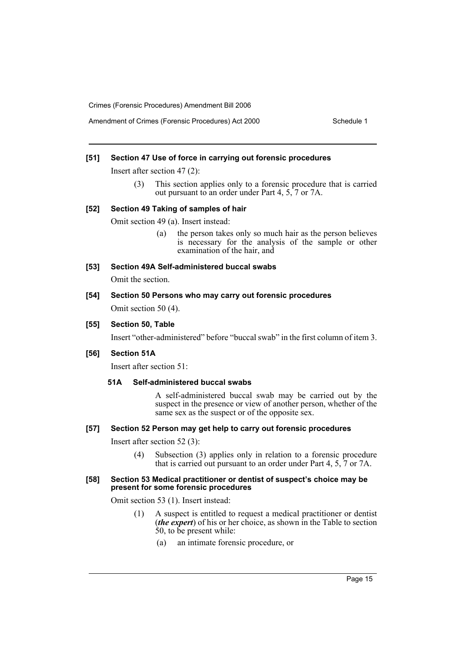#### **[51] Section 47 Use of force in carrying out forensic procedures**

Insert after section 47 (2):

(3) This section applies only to a forensic procedure that is carried out pursuant to an order under Part 4, 5, 7 or 7A.

#### **[52] Section 49 Taking of samples of hair**

Omit section 49 (a). Insert instead:

- (a) the person takes only so much hair as the person believes is necessary for the analysis of the sample or other examination of the hair, and
- **[53] Section 49A Self-administered buccal swabs**

Omit the section.

### **[54] Section 50 Persons who may carry out forensic procedures**

Omit section 50 (4).

#### **[55] Section 50, Table**

Insert "other-administered" before "buccal swab" in the first column of item 3.

#### **[56] Section 51A**

Insert after section 51:

## **51A Self-administered buccal swabs**

A self-administered buccal swab may be carried out by the suspect in the presence or view of another person, whether of the same sex as the suspect or of the opposite sex.

## **[57] Section 52 Person may get help to carry out forensic procedures**

Insert after section 52 (3):

(4) Subsection (3) applies only in relation to a forensic procedure that is carried out pursuant to an order under Part 4, 5, 7 or 7A.

#### **[58] Section 53 Medical practitioner or dentist of suspect's choice may be present for some forensic procedures**

Omit section 53 (1). Insert instead:

- (1) A suspect is entitled to request a medical practitioner or dentist (*the expert*) of his or her choice, as shown in the Table to section 50, to be present while:
	- (a) an intimate forensic procedure, or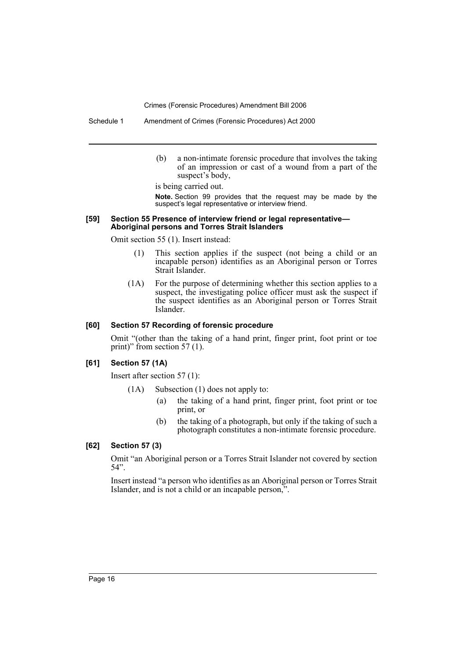Schedule 1 Amendment of Crimes (Forensic Procedures) Act 2000

(b) a non-intimate forensic procedure that involves the taking of an impression or cast of a wound from a part of the suspect's body,

is being carried out.

**Note.** Section 99 provides that the request may be made by the suspect's legal representative or interview friend.

#### **[59] Section 55 Presence of interview friend or legal representative— Aboriginal persons and Torres Strait Islanders**

Omit section 55 (1). Insert instead:

- (1) This section applies if the suspect (not being a child or an incapable person) identifies as an Aboriginal person or Torres Strait Islander.
- (1A) For the purpose of determining whether this section applies to a suspect, the investigating police officer must ask the suspect if the suspect identifies as an Aboriginal person or Torres Strait Islander.

#### **[60] Section 57 Recording of forensic procedure**

Omit "(other than the taking of a hand print, finger print, foot print or toe print)" from section 57 (1).

#### **[61] Section 57 (1A)**

Insert after section 57 (1):

- (1A) Subsection (1) does not apply to:
	- (a) the taking of a hand print, finger print, foot print or toe print, or
	- (b) the taking of a photograph, but only if the taking of such a photograph constitutes a non-intimate forensic procedure.

## **[62] Section 57 (3)**

Omit "an Aboriginal person or a Torres Strait Islander not covered by section 54".

Insert instead "a person who identifies as an Aboriginal person or Torres Strait Islander, and is not a child or an incapable person,".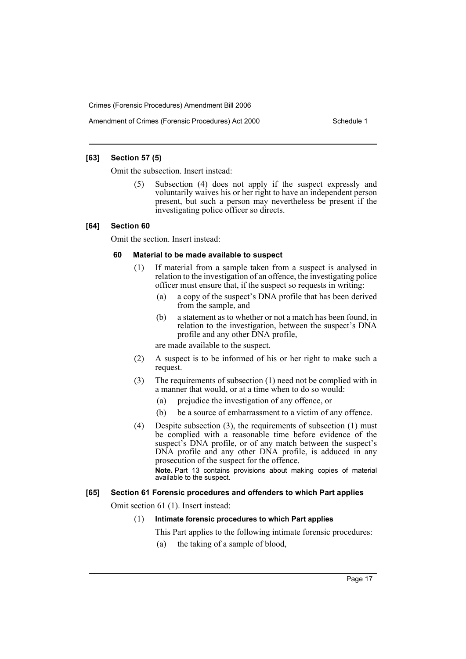## **[63] Section 57 (5)**

Omit the subsection. Insert instead:

(5) Subsection (4) does not apply if the suspect expressly and voluntarily waives his or her right to have an independent person present, but such a person may nevertheless be present if the investigating police officer so directs.

## **[64] Section 60**

Omit the section. Insert instead:

#### **60 Material to be made available to suspect**

- (1) If material from a sample taken from a suspect is analysed in relation to the investigation of an offence, the investigating police officer must ensure that, if the suspect so requests in writing:
	- (a) a copy of the suspect's DNA profile that has been derived from the sample, and
	- (b) a statement as to whether or not a match has been found, in relation to the investigation, between the suspect's DNA profile and any other DNA profile,

are made available to the suspect.

- (2) A suspect is to be informed of his or her right to make such a request.
- (3) The requirements of subsection (1) need not be complied with in a manner that would, or at a time when to do so would:
	- (a) prejudice the investigation of any offence, or
	- (b) be a source of embarrassment to a victim of any offence.
- (4) Despite subsection (3), the requirements of subsection (1) must be complied with a reasonable time before evidence of the suspect's DNA profile, or of any match between the suspect's DNA profile and any other DNA profile, is adduced in any prosecution of the suspect for the offence. **Note.** Part 13 contains provisions about making copies of material

available to the suspect.

## **[65] Section 61 Forensic procedures and offenders to which Part applies**

Omit section 61 (1). Insert instead:

## (1) **Intimate forensic procedures to which Part applies**

This Part applies to the following intimate forensic procedures:

(a) the taking of a sample of blood,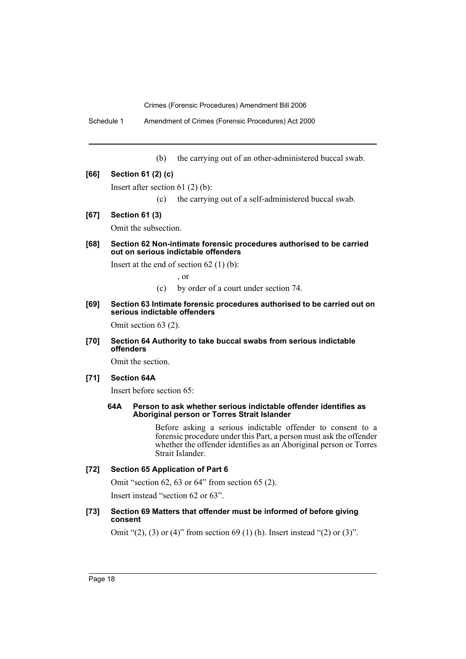Schedule 1 Amendment of Crimes (Forensic Procedures) Act 2000

(b) the carrying out of an other-administered buccal swab.

#### **[66] Section 61 (2) (c)**

Insert after section 61 (2) (b):

- (c) the carrying out of a self-administered buccal swab.
- **[67] Section 61 (3)**

Omit the subsection.

**[68] Section 62 Non-intimate forensic procedures authorised to be carried out on serious indictable offenders**

Insert at the end of section  $62(1)(b)$ :

, or

- (c) by order of a court under section 74.
- **[69] Section 63 Intimate forensic procedures authorised to be carried out on serious indictable offenders**

Omit section 63 (2).

**[70] Section 64 Authority to take buccal swabs from serious indictable offenders**

Omit the section.

#### **[71] Section 64A**

Insert before section 65:

#### **64A Person to ask whether serious indictable offender identifies as Aboriginal person or Torres Strait Islander**

Before asking a serious indictable offender to consent to a forensic procedure under this Part, a person must ask the offender whether the offender identifies as an Aboriginal person or Torres Strait Islander.

## **[72] Section 65 Application of Part 6**

Omit "section 62, 63 or 64" from section 65 (2).

Insert instead "section 62 or 63".

## **[73] Section 69 Matters that offender must be informed of before giving consent**

Omit " $(2)$ ,  $(3)$  or  $(4)$ " from section 69  $(1)$  (h). Insert instead " $(2)$  or  $(3)$ ".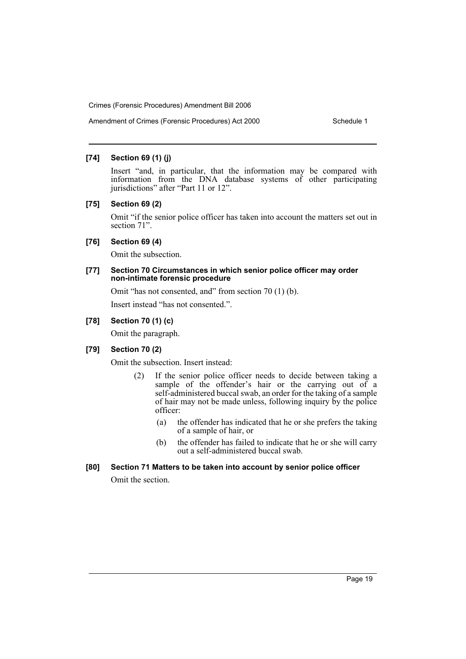## **[74] Section 69 (1) (j)**

Insert "and, in particular, that the information may be compared with information from the DNA database systems of other participating jurisdictions" after "Part 11 or 12".

#### **[75] Section 69 (2)**

Omit "if the senior police officer has taken into account the matters set out in section 71".

### **[76] Section 69 (4)**

Omit the subsection.

## **[77] Section 70 Circumstances in which senior police officer may order non-intimate forensic procedure**

Omit "has not consented, and" from section 70 (1) (b).

Insert instead "has not consented.".

## **[78] Section 70 (1) (c)**

Omit the paragraph.

## **[79] Section 70 (2)**

Omit the subsection. Insert instead:

- (2) If the senior police officer needs to decide between taking a sample of the offender's hair or the carrying out of a self-administered buccal swab, an order for the taking of a sample of hair may not be made unless, following inquiry by the police officer:
	- (a) the offender has indicated that he or she prefers the taking of a sample of hair, or
	- (b) the offender has failed to indicate that he or she will carry out a self-administered buccal swab.

## **[80] Section 71 Matters to be taken into account by senior police officer**

Omit the section.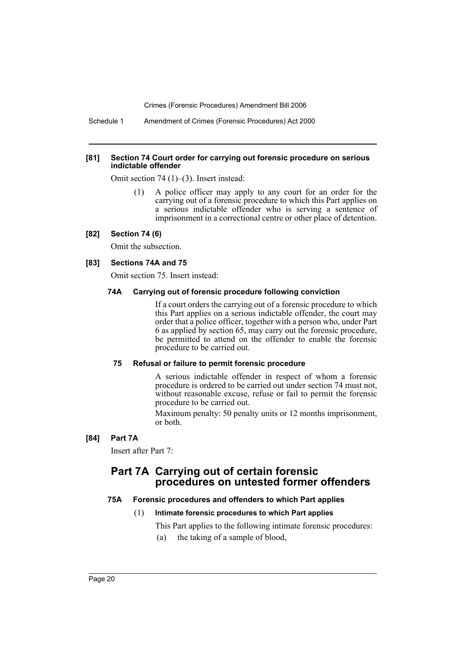Schedule 1 Amendment of Crimes (Forensic Procedures) Act 2000

#### **[81] Section 74 Court order for carrying out forensic procedure on serious indictable offender**

Omit section 74 (1)–(3). Insert instead:

(1) A police officer may apply to any court for an order for the carrying out of a forensic procedure to which this Part applies on a serious indictable offender who is serving a sentence of imprisonment in a correctional centre or other place of detention.

## **[82] Section 74 (6)**

Omit the subsection.

#### **[83] Sections 74A and 75**

Omit section 75. Insert instead:

#### **74A Carrying out of forensic procedure following conviction**

If a court orders the carrying out of a forensic procedure to which this Part applies on a serious indictable offender, the court may order that a police officer, together with a person who, under Part 6 as applied by section 65, may carry out the forensic procedure, be permitted to attend on the offender to enable the forensic procedure to be carried out.

## **75 Refusal or failure to permit forensic procedure**

A serious indictable offender in respect of whom a forensic procedure is ordered to be carried out under section 74 must not, without reasonable excuse, refuse or fail to permit the forensic procedure to be carried out.

Maximum penalty: 50 penalty units or 12 months imprisonment, or both.

## **[84] Part 7A**

Insert after Part 7:

## **Part 7A Carrying out of certain forensic procedures on untested former offenders**

#### **75A Forensic procedures and offenders to which Part applies**

#### (1) **Intimate forensic procedures to which Part applies**

This Part applies to the following intimate forensic procedures:

(a) the taking of a sample of blood,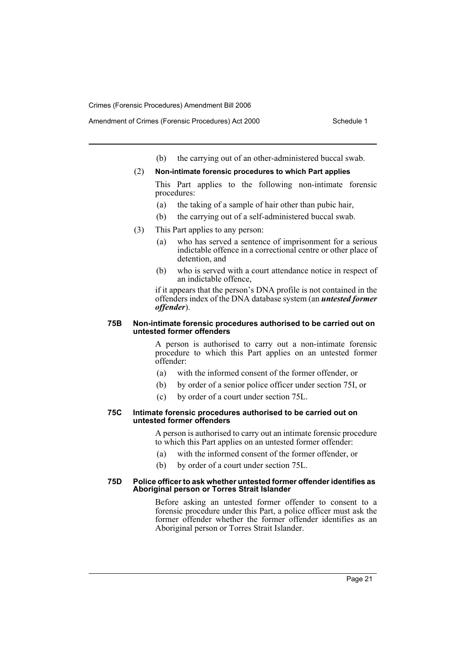- Amendment of Crimes (Forensic Procedures) Act 2000 Schedule 1
	- (b) the carrying out of an other-administered buccal swab.

#### (2) **Non-intimate forensic procedures to which Part applies**

This Part applies to the following non-intimate forensic procedures:

- (a) the taking of a sample of hair other than pubic hair,
- (b) the carrying out of a self-administered buccal swab.
- (3) This Part applies to any person:
	- (a) who has served a sentence of imprisonment for a serious indictable offence in a correctional centre or other place of detention, and
	- (b) who is served with a court attendance notice in respect of an indictable offence,

if it appears that the person's DNA profile is not contained in the offenders index of the DNA database system (an *untested former offender*).

#### **75B Non-intimate forensic procedures authorised to be carried out on untested former offenders**

A person is authorised to carry out a non-intimate forensic procedure to which this Part applies on an untested former offender:

- (a) with the informed consent of the former offender, or
- (b) by order of a senior police officer under section 75I, or
- (c) by order of a court under section 75L.

#### **75C Intimate forensic procedures authorised to be carried out on untested former offenders**

A person is authorised to carry out an intimate forensic procedure to which this Part applies on an untested former offender:

- (a) with the informed consent of the former offender, or
- (b) by order of a court under section 75L.

#### **75D Police officer to ask whether untested former offender identifies as Aboriginal person or Torres Strait Islander**

Before asking an untested former offender to consent to a forensic procedure under this Part, a police officer must ask the former offender whether the former offender identifies as an Aboriginal person or Torres Strait Islander.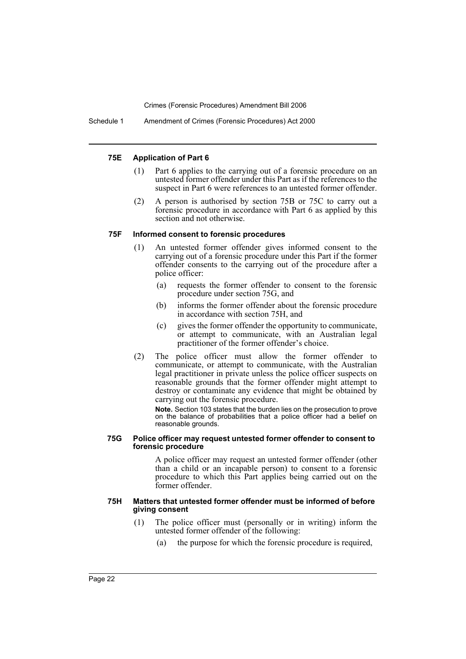Schedule 1 Amendment of Crimes (Forensic Procedures) Act 2000

#### **75E Application of Part 6**

- (1) Part 6 applies to the carrying out of a forensic procedure on an untested former offender under this Part as if the references to the suspect in Part 6 were references to an untested former offender.
- (2) A person is authorised by section 75B or 75C to carry out a forensic procedure in accordance with Part 6 as applied by this section and not otherwise.

#### **75F Informed consent to forensic procedures**

- (1) An untested former offender gives informed consent to the carrying out of a forensic procedure under this Part if the former offender consents to the carrying out of the procedure after a police officer:
	- (a) requests the former offender to consent to the forensic procedure under section 75G, and
	- (b) informs the former offender about the forensic procedure in accordance with section 75H, and
	- (c) gives the former offender the opportunity to communicate, or attempt to communicate, with an Australian legal practitioner of the former offender's choice.
- (2) The police officer must allow the former offender to communicate, or attempt to communicate, with the Australian legal practitioner in private unless the police officer suspects on reasonable grounds that the former offender might attempt to destroy or contaminate any evidence that might be obtained by carrying out the forensic procedure.

**Note.** Section 103 states that the burden lies on the prosecution to prove on the balance of probabilities that a police officer had a belief on reasonable grounds.

#### **75G Police officer may request untested former offender to consent to forensic procedure**

A police officer may request an untested former offender (other than a child or an incapable person) to consent to a forensic procedure to which this Part applies being carried out on the former offender.

#### **75H Matters that untested former offender must be informed of before giving consent**

- (1) The police officer must (personally or in writing) inform the untested former offender of the following:
	- (a) the purpose for which the forensic procedure is required,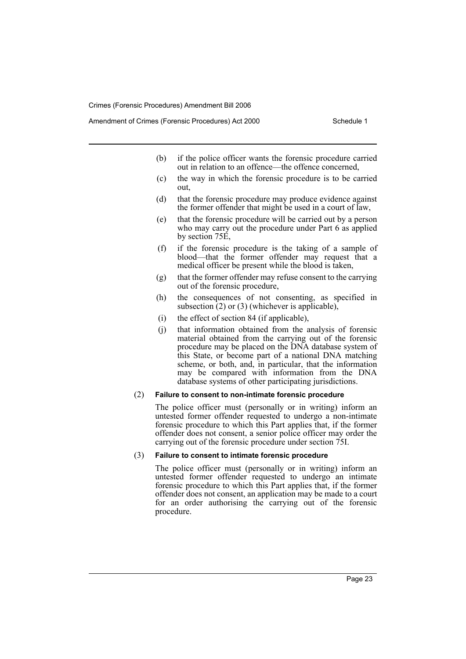- (b) if the police officer wants the forensic procedure carried out in relation to an offence—the offence concerned,
- (c) the way in which the forensic procedure is to be carried out,
- (d) that the forensic procedure may produce evidence against the former offender that might be used in a court of law,
- (e) that the forensic procedure will be carried out by a person who may carry out the procedure under Part 6 as applied by section 75E,
- (f) if the forensic procedure is the taking of a sample of blood—that the former offender may request that a medical officer be present while the blood is taken,
- (g) that the former offender may refuse consent to the carrying out of the forensic procedure,
- (h) the consequences of not consenting, as specified in subsection  $(2)$  or  $(3)$  (whichever is applicable),
- (i) the effect of section 84 (if applicable),
- (j) that information obtained from the analysis of forensic material obtained from the carrying out of the forensic procedure may be placed on the DNA database system of this State, or become part of a national DNA matching scheme, or both, and, in particular, that the information may be compared with information from the DNA database systems of other participating jurisdictions.

#### (2) **Failure to consent to non-intimate forensic procedure**

The police officer must (personally or in writing) inform an untested former offender requested to undergo a non-intimate forensic procedure to which this Part applies that, if the former offender does not consent, a senior police officer may order the carrying out of the forensic procedure under section 75I.

#### (3) **Failure to consent to intimate forensic procedure**

The police officer must (personally or in writing) inform an untested former offender requested to undergo an intimate forensic procedure to which this Part applies that, if the former offender does not consent, an application may be made to a court for an order authorising the carrying out of the forensic procedure.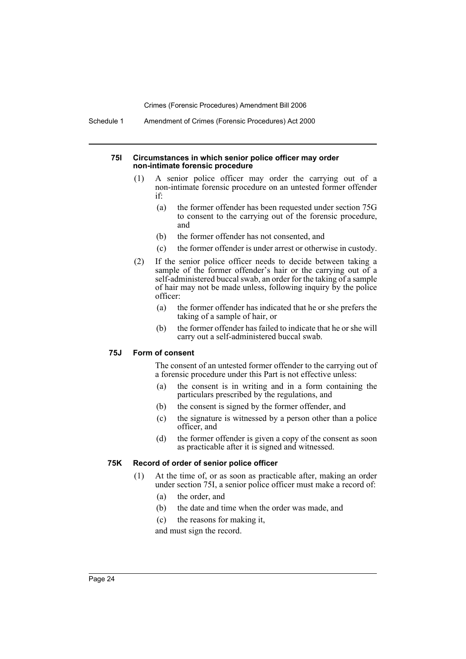Schedule 1 Amendment of Crimes (Forensic Procedures) Act 2000

#### **75I Circumstances in which senior police officer may order non-intimate forensic procedure**

- (1) A senior police officer may order the carrying out of a non-intimate forensic procedure on an untested former offender if:
	- (a) the former offender has been requested under section 75G to consent to the carrying out of the forensic procedure, and
	- (b) the former offender has not consented, and
	- (c) the former offender is under arrest or otherwise in custody.
- (2) If the senior police officer needs to decide between taking a sample of the former offender's hair or the carrying out of a self-administered buccal swab, an order for the taking of a sample of hair may not be made unless, following inquiry by the police officer:
	- (a) the former offender has indicated that he or she prefers the taking of a sample of hair, or
	- (b) the former offender has failed to indicate that he or she will carry out a self-administered buccal swab.

#### **75J Form of consent**

The consent of an untested former offender to the carrying out of a forensic procedure under this Part is not effective unless:

- (a) the consent is in writing and in a form containing the particulars prescribed by the regulations, and
- (b) the consent is signed by the former offender, and
- (c) the signature is witnessed by a person other than a police officer, and
- (d) the former offender is given a copy of the consent as soon as practicable after it is signed and witnessed.

#### **75K Record of order of senior police officer**

- (1) At the time of, or as soon as practicable after, making an order under section 75I, a senior police officer must make a record of:
	- (a) the order, and
	- (b) the date and time when the order was made, and
	- (c) the reasons for making it,

and must sign the record.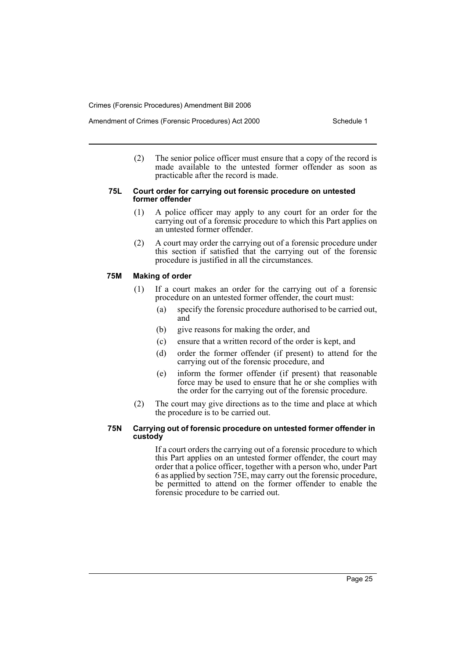(2) The senior police officer must ensure that a copy of the record is made available to the untested former offender as soon as practicable after the record is made.

#### **75L Court order for carrying out forensic procedure on untested former offender**

- (1) A police officer may apply to any court for an order for the carrying out of a forensic procedure to which this Part applies on an untested former offender.
- (2) A court may order the carrying out of a forensic procedure under this section if satisfied that the carrying out of the forensic procedure is justified in all the circumstances.

## **75M Making of order**

- (1) If a court makes an order for the carrying out of a forensic procedure on an untested former offender, the court must:
	- (a) specify the forensic procedure authorised to be carried out, and
	- (b) give reasons for making the order, and
	- (c) ensure that a written record of the order is kept, and
	- (d) order the former offender (if present) to attend for the carrying out of the forensic procedure, and
	- (e) inform the former offender (if present) that reasonable force may be used to ensure that he or she complies with the order for the carrying out of the forensic procedure.
- (2) The court may give directions as to the time and place at which the procedure is to be carried out.

#### **75N Carrying out of forensic procedure on untested former offender in custody**

If a court orders the carrying out of a forensic procedure to which this Part applies on an untested former offender, the court may order that a police officer, together with a person who, under Part 6 as applied by section 75E, may carry out the forensic procedure, be permitted to attend on the former offender to enable the forensic procedure to be carried out.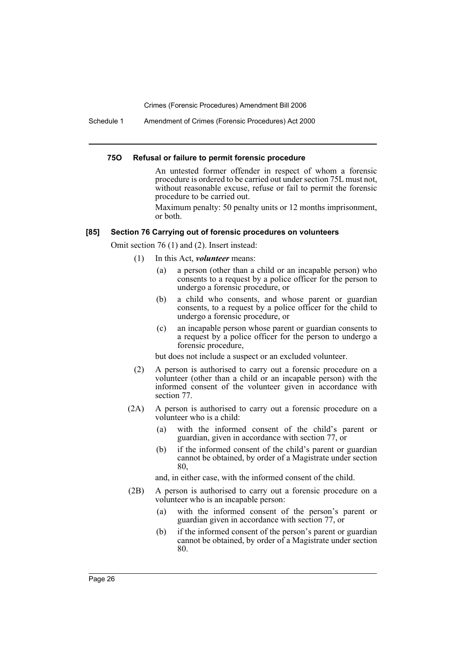Schedule 1 Amendment of Crimes (Forensic Procedures) Act 2000

#### **75O Refusal or failure to permit forensic procedure**

An untested former offender in respect of whom a forensic procedure is ordered to be carried out under section 75L must not, without reasonable excuse, refuse or fail to permit the forensic procedure to be carried out.

Maximum penalty: 50 penalty units or 12 months imprisonment, or both.

#### **[85] Section 76 Carrying out of forensic procedures on volunteers**

Omit section 76 (1) and (2). Insert instead:

(1) In this Act, *volunteer* means:

- (a) a person (other than a child or an incapable person) who consents to a request by a police officer for the person to undergo a forensic procedure, or
- (b) a child who consents, and whose parent or guardian consents, to a request by a police officer for the child to undergo a forensic procedure, or
- (c) an incapable person whose parent or guardian consents to a request by a police officer for the person to undergo a forensic procedure,

but does not include a suspect or an excluded volunteer.

- (2) A person is authorised to carry out a forensic procedure on a volunteer (other than a child or an incapable person) with the informed consent of the volunteer given in accordance with section 77.
- (2A) A person is authorised to carry out a forensic procedure on a volunteer who is a child:
	- (a) with the informed consent of the child's parent or guardian, given in accordance with section 77, or
	- (b) if the informed consent of the child's parent or guardian cannot be obtained, by order of a Magistrate under section 80,

and, in either case, with the informed consent of the child.

- (2B) A person is authorised to carry out a forensic procedure on a volunteer who is an incapable person:
	- (a) with the informed consent of the person's parent or guardian given in accordance with section 77, or
	- (b) if the informed consent of the person's parent or guardian cannot be obtained, by order of a Magistrate under section 80.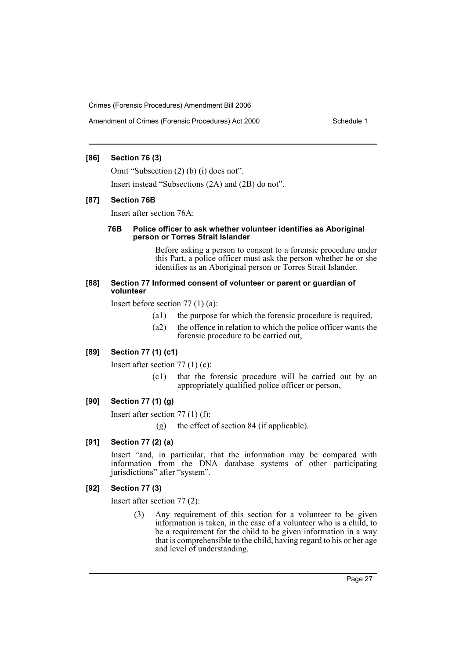Amendment of Crimes (Forensic Procedures) Act 2000 Schedule 1

## **[86] Section 76 (3)**

Omit "Subsection (2) (b) (i) does not".

Insert instead "Subsections (2A) and (2B) do not".

## **[87] Section 76B**

Insert after section 76A:

#### **76B Police officer to ask whether volunteer identifies as Aboriginal person or Torres Strait Islander**

Before asking a person to consent to a forensic procedure under this Part, a police officer must ask the person whether he or she identifies as an Aboriginal person or Torres Strait Islander.

#### **[88] Section 77 Informed consent of volunteer or parent or guardian of volunteer**

Insert before section 77 (1) (a):

- (a1) the purpose for which the forensic procedure is required,
- (a2) the offence in relation to which the police officer wants the forensic procedure to be carried out,

## **[89] Section 77 (1) (c1)**

Insert after section 77 (1) (c):

(c1) that the forensic procedure will be carried out by an appropriately qualified police officer or person,

## **[90] Section 77 (1) (g)**

Insert after section 77 (1) (f):

(g) the effect of section 84 (if applicable).

## **[91] Section 77 (2) (a)**

Insert "and, in particular, that the information may be compared with information from the DNA database systems of other participating jurisdictions" after "system".

#### **[92] Section 77 (3)**

Insert after section 77 (2):

(3) Any requirement of this section for a volunteer to be given information is taken, in the case of a volunteer who is a child, to be a requirement for the child to be given information in a way that is comprehensible to the child, having regard to his or her age and level of understanding.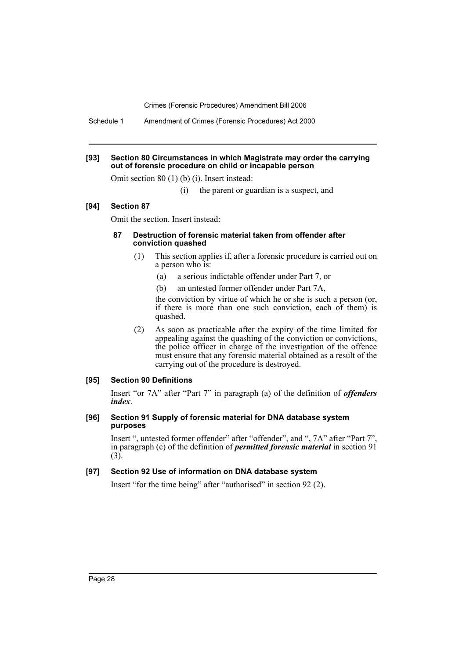Schedule 1 Amendment of Crimes (Forensic Procedures) Act 2000

#### **[93] Section 80 Circumstances in which Magistrate may order the carrying out of forensic procedure on child or incapable person**

Omit section 80 (1) (b) (i). Insert instead:

(i) the parent or guardian is a suspect, and

#### **[94] Section 87**

Omit the section. Insert instead:

#### **87 Destruction of forensic material taken from offender after conviction quashed**

- (1) This section applies if, after a forensic procedure is carried out on a person who is:
	- (a) a serious indictable offender under Part 7, or
	- (b) an untested former offender under Part 7A,

the conviction by virtue of which he or she is such a person (or, if there is more than one such conviction, each of them) is quashed.

(2) As soon as practicable after the expiry of the time limited for appealing against the quashing of the conviction or convictions, the police officer in charge of the investigation of the offence must ensure that any forensic material obtained as a result of the carrying out of the procedure is destroyed.

#### **[95] Section 90 Definitions**

Insert "or 7A" after "Part 7" in paragraph (a) of the definition of *offenders index*.

#### **[96] Section 91 Supply of forensic material for DNA database system purposes**

Insert ", untested former offender" after "offender", and ", 7A" after "Part 7" in paragraph (c) of the definition of *permitted forensic material* in section 91  $(3)$ .

## **[97] Section 92 Use of information on DNA database system**

Insert "for the time being" after "authorised" in section 92 (2).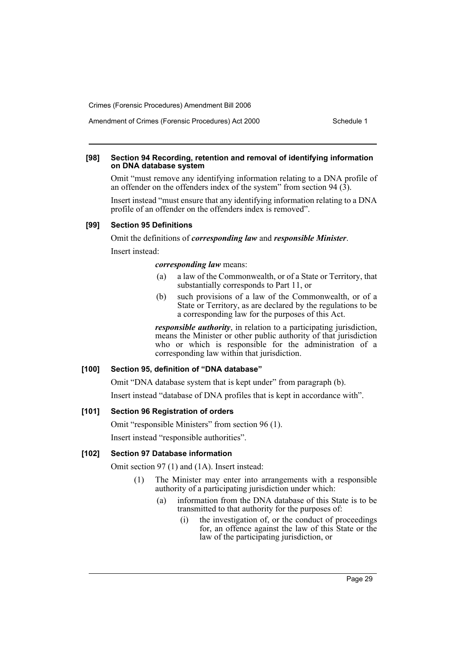## Amendment of Crimes (Forensic Procedures) Act 2000 Schedule 1

#### **[98] Section 94 Recording, retention and removal of identifying information on DNA database system**

Omit "must remove any identifying information relating to a DNA profile of an offender on the offenders index of the system" from section 94  $(3)$ .

Insert instead "must ensure that any identifying information relating to a DNA profile of an offender on the offenders index is removed".

#### **[99] Section 95 Definitions**

Omit the definitions of *corresponding law* and *responsible Minister*. Insert instead:

#### *corresponding law* means:

- (a) a law of the Commonwealth, or of a State or Territory, that substantially corresponds to Part 11, or
- (b) such provisions of a law of the Commonwealth, or of a State or Territory, as are declared by the regulations to be a corresponding law for the purposes of this Act.

*responsible authority*, in relation to a participating jurisdiction, means the Minister or other public authority of that jurisdiction who or which is responsible for the administration of a corresponding law within that jurisdiction.

#### **[100] Section 95, definition of "DNA database"**

Omit "DNA database system that is kept under" from paragraph (b).

Insert instead "database of DNA profiles that is kept in accordance with".

## **[101] Section 96 Registration of orders**

Omit "responsible Ministers" from section 96 (1). Insert instead "responsible authorities".

## **[102] Section 97 Database information**

Omit section 97 (1) and (1A). Insert instead:

- (1) The Minister may enter into arrangements with a responsible authority of a participating jurisdiction under which:
	- (a) information from the DNA database of this State is to be transmitted to that authority for the purposes of:
		- (i) the investigation of, or the conduct of proceedings for, an offence against the law of this State or the law of the participating jurisdiction, or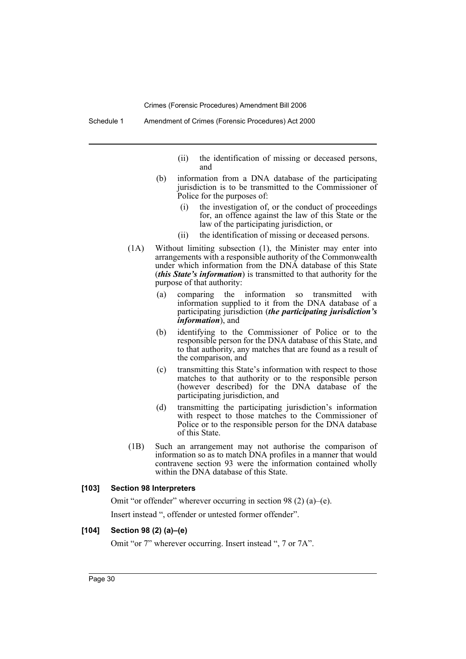- (ii) the identification of missing or deceased persons, and
- (b) information from a DNA database of the participating jurisdiction is to be transmitted to the Commissioner of Police for the purposes of:
	- (i) the investigation of, or the conduct of proceedings for, an offence against the law of this State or the law of the participating jurisdiction, or
	- (ii) the identification of missing or deceased persons.
- (1A) Without limiting subsection (1), the Minister may enter into arrangements with a responsible authority of the Commonwealth under which information from the DNA database of this State (*this State's information*) is transmitted to that authority for the purpose of that authority:
	- (a) comparing the information so transmitted with information supplied to it from the DNA database of a participating jurisdiction (*the participating jurisdiction's information*), and
	- (b) identifying to the Commissioner of Police or to the responsible person for the DNA database of this State, and to that authority, any matches that are found as a result of the comparison, and
	- (c) transmitting this State's information with respect to those matches to that authority or to the responsible person (however described) for the DNA database of the participating jurisdiction, and
	- (d) transmitting the participating jurisdiction's information with respect to those matches to the Commissioner of Police or to the responsible person for the DNA database of this State.
- (1B) Such an arrangement may not authorise the comparison of information so as to match DNA profiles in a manner that would contravene section 93 were the information contained wholly within the DNA database of this State.

## **[103] Section 98 Interpreters**

Omit "or offender" wherever occurring in section 98 (2) (a)–(e). Insert instead ", offender or untested former offender".

## **[104] Section 98 (2) (a)–(e)**

Omit "or 7" wherever occurring. Insert instead ", 7 or 7A".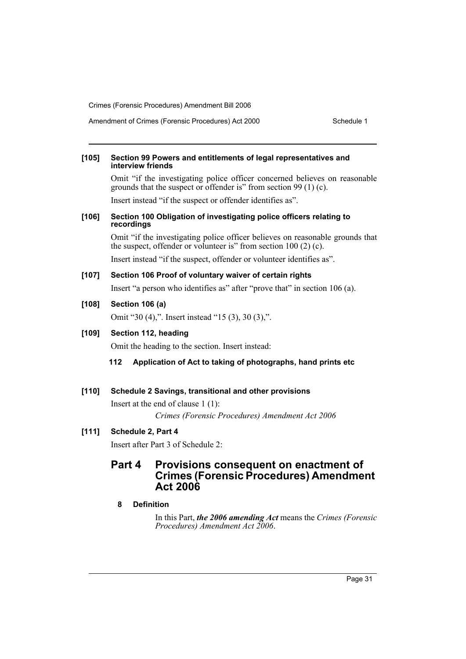Amendment of Crimes (Forensic Procedures) Act 2000 Schedule 1

#### **[105] Section 99 Powers and entitlements of legal representatives and interview friends**

Omit "if the investigating police officer concerned believes on reasonable grounds that the suspect or offender is" from section 99 (1) (c).

Insert instead "if the suspect or offender identifies as".

#### **[106] Section 100 Obligation of investigating police officers relating to recordings**

Omit "if the investigating police officer believes on reasonable grounds that the suspect, offender or volunteer is" from section 100 (2) (c).

Insert instead "if the suspect, offender or volunteer identifies as".

## **[107] Section 106 Proof of voluntary waiver of certain rights**

Insert "a person who identifies as" after "prove that" in section 106 (a).

## **[108] Section 106 (a)**

Omit "30 (4),". Insert instead "15 (3), 30 (3),".

## **[109] Section 112, heading**

Omit the heading to the section. Insert instead:

#### **112 Application of Act to taking of photographs, hand prints etc**

## **[110] Schedule 2 Savings, transitional and other provisions**

Insert at the end of clause 1 (1): *Crimes (Forensic Procedures) Amendment Act 2006*

## **[111] Schedule 2, Part 4**

Insert after Part 3 of Schedule 2:

## **Part 4 Provisions consequent on enactment of Crimes (Forensic Procedures) Amendment Act 2006**

### **8 Definition**

In this Part, *the 2006 amending Act* means the *Crimes (Forensic Procedures) Amendment Act 2006*.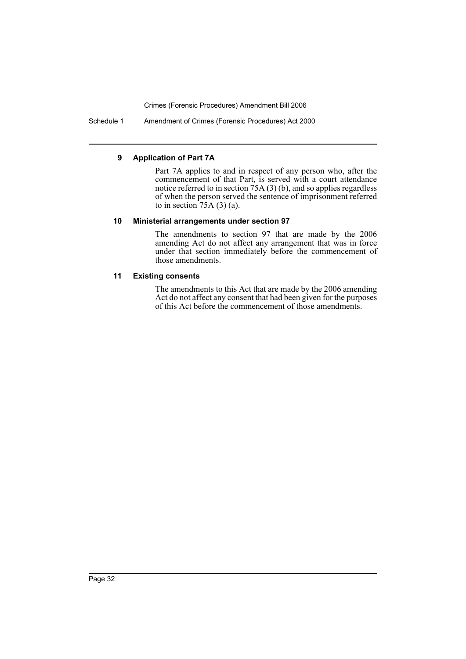Schedule 1 Amendment of Crimes (Forensic Procedures) Act 2000

## **9 Application of Part 7A**

Part 7A applies to and in respect of any person who, after the commencement of that Part, is served with a court attendance notice referred to in section  $75A(3)$  (b), and so applies regardless of when the person served the sentence of imprisonment referred to in section  $75A(3)(a)$ .

### **10 Ministerial arrangements under section 97**

The amendments to section 97 that are made by the 2006 amending Act do not affect any arrangement that was in force under that section immediately before the commencement of those amendments.

## **11 Existing consents**

The amendments to this Act that are made by the 2006 amending Act do not affect any consent that had been given for the purposes of this Act before the commencement of those amendments.